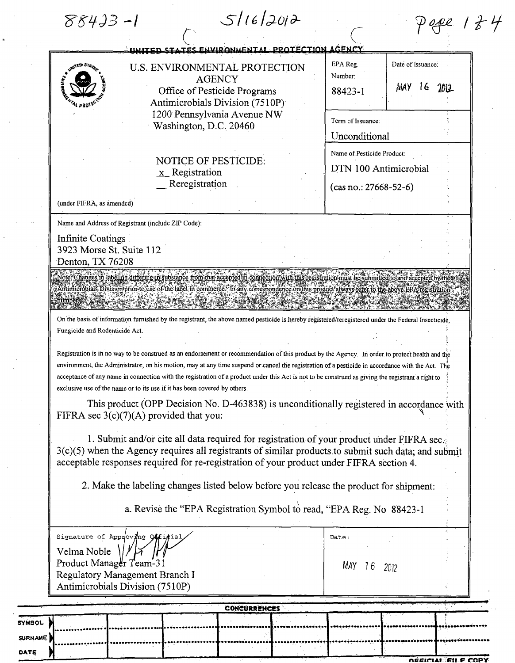$88433 - 1$ 

DATE  $\big)$ 

| TES ENVIRONMENTAL PROTECTION AGENCY<br>معصس                                                                                                                                                                                                                                                                                                                                                                                                                                                                                           |                                                               |
|---------------------------------------------------------------------------------------------------------------------------------------------------------------------------------------------------------------------------------------------------------------------------------------------------------------------------------------------------------------------------------------------------------------------------------------------------------------------------------------------------------------------------------------|---------------------------------------------------------------|
| U.S. ENVIRONMENTAL PROTECTION<br><b>AGENCY</b><br>Office of Pesticide Programs<br>Antimicrobials Division (7510P)<br>1200 Pennsylvania Avenue NW<br>Washington, D.C. 20460                                                                                                                                                                                                                                                                                                                                                            | EPA Reg.<br>Date of Issuance:<br>Number:<br>$M$ A)<br>88423-1 |
|                                                                                                                                                                                                                                                                                                                                                                                                                                                                                                                                       | Term of Issuance:<br>Unconditional                            |
| <b>NOTICE OF PESTICIDE:</b><br>$x$ Registration<br>Reregistration                                                                                                                                                                                                                                                                                                                                                                                                                                                                     | Name of Pesticide Product:<br>DTN 100 Antimicrobial           |
| (under FIFRA, as amended)                                                                                                                                                                                                                                                                                                                                                                                                                                                                                                             | $(cas no.: 27668-52-6)$                                       |
| Name and Address of Registrant (include ZIP Code):                                                                                                                                                                                                                                                                                                                                                                                                                                                                                    |                                                               |
| Infinite Coatings<br>3923 Morse St. Suite 112<br>Denton, TX 76208                                                                                                                                                                                                                                                                                                                                                                                                                                                                     |                                                               |
| Vote: Changes in labeling differing th substance from that accepted in connection with this registration must be submitted to and accepted<br>Antimicrobials Division prior to use of the label in commerce. In any correspondence omithis product atways refer to the above EPA<br>On the basis of information furnished by the registrant, the above named pesticide is hereby registered/reregistered under the Federal Insecticide,<br>Fungicide and Rodenticide Act.                                                             |                                                               |
| Registration is in no way to be construed as an endorsement or recommendation of this product by the Agency. In order to protect health and the<br>environment, the Administrator, on his motion, may at any time suspend or cancel the registration of a pesticide in accordance with the Act. The<br>acceptance of any name in connection with the registration of a product under this Act is not to be construed as giving the registrant a right to<br>exclusive use of the name or to its use if it has been covered by others. |                                                               |
| This product (OPP Decision No. D-463838) is unconditionally registered in accordance with<br>FIFRA sec $3(c)(7)(A)$ provided that you:                                                                                                                                                                                                                                                                                                                                                                                                |                                                               |
| 1. Submit and/or cite all data required for registration of your product under FIFRA sec.<br>$3(c)(5)$ when the Agency requires all registrants of similar products to submit such data; and submit<br>acceptable responses required for re-registration of your product under FIFRA section 4.                                                                                                                                                                                                                                       |                                                               |
| 2. Make the labeling changes listed below before you release the product for shipment:                                                                                                                                                                                                                                                                                                                                                                                                                                                |                                                               |
| a. Revise the "EPA Registration Symbol to read, "EPA Reg. No 88423-1                                                                                                                                                                                                                                                                                                                                                                                                                                                                  |                                                               |
| Signature of Approving Official<br>Velma Noble<br>Product Manager Team-31                                                                                                                                                                                                                                                                                                                                                                                                                                                             | Date:<br>МАҮ<br>16<br>2012                                    |
|                                                                                                                                                                                                                                                                                                                                                                                                                                                                                                                                       |                                                               |
| Regulatory Management Branch I<br>Antimicrobials Division (7510P)                                                                                                                                                                                                                                                                                                                                                                                                                                                                     |                                                               |

*DEFICIAL FILE COPY*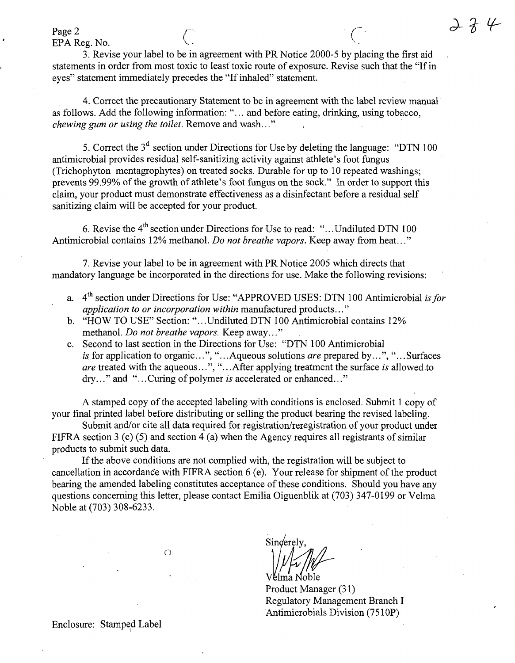Page 2  $\qquad \qquad \qquad$   $\qquad \qquad$   $\qquad \qquad$   $\qquad \qquad$   $\qquad \qquad$   $\qquad \qquad$   $\qquad \qquad$   $\qquad \qquad$   $\qquad \qquad$   $\qquad \qquad$   $\qquad \qquad$   $\qquad \qquad$   $\qquad \qquad$   $\qquad \qquad$   $\qquad \qquad$   $\qquad \qquad$   $\qquad \qquad$   $\qquad \qquad$   $\qquad \qquad$   $\qquad \qquad$   $\qquad \qquad$   $\qquad \qquad$   $\qquad \qquad$   $\qquad$ 

EPA Reg. No.

3. Revise your label to be in agreement with PR Notice 2000-5 by placing the first aid statements in order from most toxic to least toxic route of exposure. Revise such that the "If in eyes" statement immediately precedes the "If inhaled" statement.

4. Correct the precautionary Statement to be in agreement with the label review manual as follows. Add the following information: "... and before eating, drinking, using tobacco, chewing gum or using the toilet. Remove and wash..."

5. Correct the  $3<sup>d</sup>$  section under Directions for Use by deleting the language: "DTN 100" antimicrobial provides residual self-sanitizing activity against athlete's foot fungus (Trichophyton mentagrophytes) on treated socks. Durable for up to 10 repeated washings; prevents 99.99% of the growth of athlete's foot fungus on the sock." In order to support this claim, your product must demonstrate effectiveness as a disinfectant before a residual self sanitizing claim will be accepted for your product.

6. Revise the  $4<sup>th</sup>$  section under Directions for Use to read: "...Undiluted DTN 100 Antimicrobial contains 12% methanol. Do not breathe vapors. Keep away from heat..."

7. Revise your label to be in agreement with PR Notice 2005 which directs that mandatory language be incorporated in the directions for use. Make the following revisions:

- a. 4<sup>th</sup> section under Directions for Use: "APPROVED USES: DTN 100 Antimicrobial is for application to or incorporation within manufactured products..."
- b. "HOW TO USE" Section: ".. .Undiluted DTN 100 Antimicrobial contains 12% methanol. Do not breathe vapors. Keep away..."
- c. Second to last section in the Directions for Use: "DTN 100 Antimicrobial is for application to organic...", "...Aqueous solutions are prepared by...", "...Surfaces are treated with the aqueous...", "...After applying treatment the surface is allowed to dry..." and "...Curing of polymer is accelerated or enhanced..."

A stamped copy of the accepted labeling with conditions is enclosed. Submit 1 copy of your final printed label before distributing or selling the product bearing the revised labeling.

Submit and/or cite all data required for registration/reregistration of your product under FIFRA section 3 (c) (5) and section 4 (a) when the Agency requires all registrants of similar products to submit such data.

If the above conditions are not complied with, the registration will be subject to cancellation in accordance with FIFRA section 6 (e). Your release for shipment of the product bearing the amended labeling constitutes acceptance of these conditions. Should you have any questions concerning this letter, please contact Emilia Oiguenblik at (703) 347-0199 or Velma Noble at (703) 308-6233.

Singerely VE

Product Manager (31) Regulatory Management Branch I Antimicrobials Division (7510P)

Enclosure: Stamped Label

o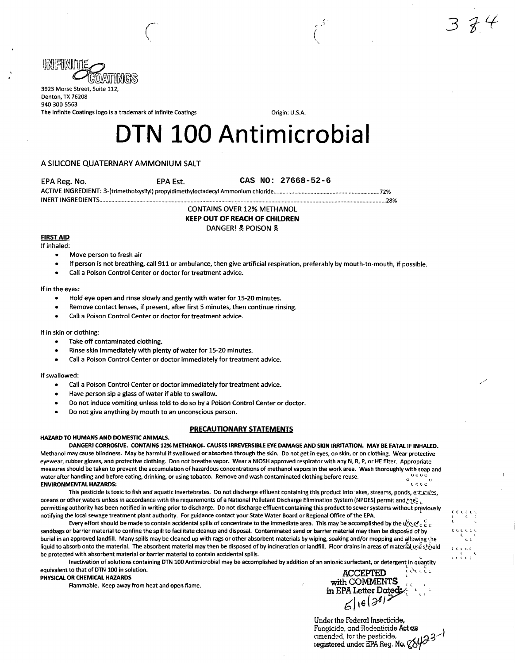

3923 Morse Street, Suite 112, Denton, TX 76208 940-300-5563 The Infinite Coatings logo is a trademark of Infinite Coatings **Communist Constanting Constanting Constant** Origin: U.S.A.

# DTN 100 Antimicrobial

 $\begin{pmatrix} 1 & 1 & 1 \\ 1 & 1 & 1 \\ 1 & 1 & 1 \end{pmatrix}$ 

# A SILICONE QUATERNARY AMMONIUM SALT

EPA Reg. No.

**CAS NO: 27668-52-6**

ACTIVE INGREDIENT: 3-(trimetholxysilyl) propyldimethyloctadecyl Ammonium chloride 72% INERT INGREDIENTS 28%

CONTAINS OVER 12% METHANOL KEEP OUT OF REACH OF CHILDREN DANGER! & POISON &

#### FIRST AID If inhaled:

- Move person to fresh air
- If person is not breathing, call 911 or ambulance, then give artificial respiration, preferably by mouth-to-mouth, if possible.
- Call a Poison Control Center or doctor for treatment advice.

#### If in the eyes:

• Hold eye open and rinse slowly and gently with water for 15-20 minutes.

EPA Est.

- Remove contact lenses, if present, after first 5 minutes, then continue rinsing.
- Call a Poison Control Center or doctor for treatment advice.

### If in skin or clothing:

- Take off contaminated clothing.
- Rinse skin immediately with plenty of water for 15-20 minutes.
- Call a Poison Control Center or doctor immediately for treatment advice.

#### If swallowed:

- Call a Poison Control Center or doctor immediately for treatment advice.
- Have person sip a glass of water if able to swallow.
- Do not induce vomiting unless told to do so by a Poison Control Center or doctor.
- Do not give anything by mouth to an unconscious person.

# PRECAUTIONARY STATEMENTS

#### HAZARD TO HUMANS AND DOMESTIC ANIMALS.

DANGER! CORROSIVE. CONTAINS 12% METHANOL. CAUSES IRREVERSIBLE EYE DAMAGE AND SKIN IRRITATION. MAY BE FATAL IF INHALED. Methanol may cause blindness. May be harmful if swallowed or absorbed through the skin. Do not get in eyes, on skin, or on clothing. Wear protective eyewear, rubber gloves, and protective clothing. Don not breathe vapor. Wear a NIOSH approved respirator with any N, R, P, or HE filter. Appropriate measures should be taken to prevent the accumulation of hazardous concentrations of methanol vapors in the work area. Wash thoroughly with soap and water after handling and before eating, drinking, or using tobacco. Remove and wash contaminated clothing before reuse. e ENVIRONMENTAL HAZARDS: c c c c

This pesticide is toxic to fish and aquatic invertebrates. Do not discharge effluent containing this product into lakes, streams, ponds, estucries, oceans or other waters unless in accordance with the requirements of a National Pollutant Discharge Elimination System (NPDES) permit and the  $c_c$ permitting authority has been notified in writing prior to discharge. Do not discharge effluent containing this product to sewer systems without previously notifying the local sewage treatment plant authority. For guidance contact your State Water Board or Regional Office of the EPA.

Every effort should be made to contain accidental spills of concentrate to the immediate area. This may be accomplished by the u $_{\rm CeQ}^c$  c  $_{\rm c}^c$ sandbags or barrier material to confine the spill to facilitate cleanup and disposal. Contaminated sand or barrier material may then be disposed of by burial in an approved landfill. Many spills may be cleaned up with rags or other absorbent materials by wiping, soaking and/or mopping and allowing the liquid to absorb onto the material. The absorbent material may then be disposed of by incineration or landfill. Floor drains in areas of material use should be protected with absorbent material or barrier material to contain accidental spills.

Inactivation of solutions containing DTN 100 Antimicrobial may be accomplished by addition of an anionic surfactant, or detergent in quantity equivalent to that of DTN 100 in solution.<br>Separate that of DTN 100 in solution.

تضادتا PHYSICAL OR CHEMICAL HAZARDS<br>Elammable Keen away from heat and ones flame Flammable. Keep away from heat and open flame.<br>  $\frac{1}{\text{ln EPA} \cdot \text{Lefter Dated}}$ 

Under the Federal Insecticide. Fungicide, and Rodenticide Act as amended, tor ihe pesticide, tegistered under EPA Reg. No.